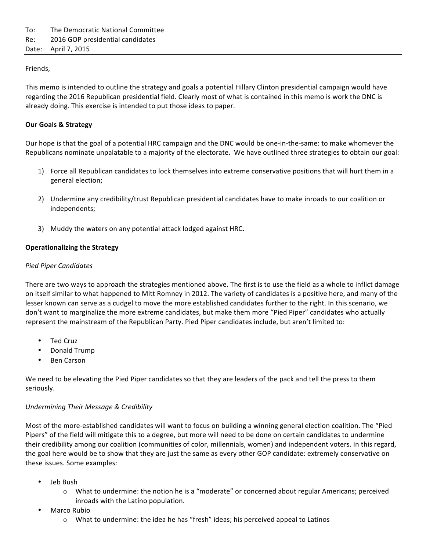## Friends,

This memo is intended to outline the strategy and goals a potential Hillary Clinton presidential campaign would have regarding the 2016 Republican presidential field. Clearly most of what is contained in this memo is work the DNC is already doing. This exercise is intended to put those ideas to paper.

## **Our Goals & Strategy**

Our hope is that the goal of a potential HRC campaign and the DNC would be one-in-the-same: to make whomever the Republicans nominate unpalatable to a majority of the electorate. We have outlined three strategies to obtain our goal:

- 1) Force all Republican candidates to lock themselves into extreme conservative positions that will hurt them in a general election;
- 2) Undermine any credibility/trust Republican presidential candidates have to make inroads to our coalition or independents;
- 3) Muddy the waters on any potential attack lodged against HRC.

# **Operationalizing the Strategy**

### *Pied Piper Candidates*

There are two ways to approach the strategies mentioned above. The first is to use the field as a whole to inflict damage on itself similar to what happened to Mitt Romney in 2012. The variety of candidates is a positive here, and many of the lesser known can serve as a cudgel to move the more established candidates further to the right. In this scenario, we don't want to marginalize the more extreme candidates, but make them more "Pied Piper" candidates who actually represent the mainstream of the Republican Party. Pied Piper candidates include, but aren't limited to:

- Ted Cruz
- Donald Trump
- **Ben Carson**

We need to be elevating the Pied Piper candidates so that they are leaders of the pack and tell the press to them seriously.

### *Undermining Their Message & Credibility*

Most of the more-established candidates will want to focus on building a winning general election coalition. The "Pied Pipers" of the field will mitigate this to a degree, but more will need to be done on certain candidates to undermine their credibility among our coalition (communities of color, millennials, women) and independent voters. In this regard, the goal here would be to show that they are just the same as every other GOP candidate: extremely conservative on these issues. Some examples:

- Jeb Bush
	- $\circ$  What to undermine: the notion he is a "moderate" or concerned about regular Americans; perceived inroads with the Latino population.
- Marco Rubio
	- $\circ$  What to undermine: the idea he has "fresh" ideas; his perceived appeal to Latinos